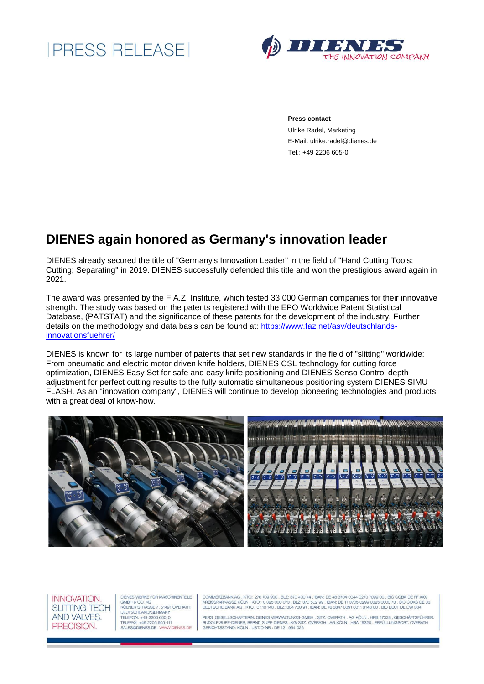



**Press contact**

Ulrike Radel, Marketing E-Mail: ulrike.radel@dienes.de Tel.: +49 2206 605-0

## **DIENES again honored as Germany's innovation leader**

DIENES already secured the title of "Germany's Innovation Leader" in the field of "Hand Cutting Tools; Cutting; Separating" in 2019. DIENES successfully defended this title and won the prestigious award again in 2021.

The award was presented by the F.A.Z. Institute, which tested 33,000 German companies for their innovative strength. The study was based on the patents registered with the EPO Worldwide Patent Statistical Database, (PATSTAT) and the significance of these patents for the development of the industry. Further details on the methodology and data basis can be found at: [https://www.faz.net/asv/deutschlands](https://www.faz.net/asv/deutschlands-innovationsfuehrer/)[innovationsfuehrer/](https://www.faz.net/asv/deutschlands-innovationsfuehrer/)

DIENES is known for its large number of patents that set new standards in the field of "slitting" worldwide: From pneumatic and electric motor driven knife holders, DIENES CSL technology for cutting force optimization, DIENES Easy Set for safe and easy knife positioning and DIENES Senso Control depth adjustment for perfect cutting results to the fully automatic simultaneous positioning system DIENES SIMU FLASH. As an "innovation company", DIENES will continue to develop pioneering technologies and products with a great deal of know-how.





DIENES WERKE FÜR MASCHINENTEILE DIENES WERKE FOR MASCHINENTELE<br>GMBH & CO. KG<br>KÖLNER STRASSE 7. 51491 OVERATH **DEUTSCHLAND/GERMANY** DEOTSCHLAND/GEHIVANT<br>TELEFON: +49 2206 605-0<br>TELEFAX: +49 2206 605-111<br>SALES@DIENES.DE , WWW.DIENES.DE

COMMERZBANK AG , KTO.: 270 709 900 , BLZ: 370 400 44 , IBAN: DE 48 3704 0044 0270 7099 00 , BIC COBA DE FF XXX<br>KREISSPARKASSE KÖLN , KTO.: 0 325 000 073 , BLZ: 370 502 99 , IBAN: DE 11 3705 0299 0325 0000 73 , BIC COKS DE  $SDE33$ 

PERS, GESELLSCHAFTERIN: DIENES VERWALTUNGS-GMBH , SITZ: OVERATH , AG KÖLN , HRB 47038 , GESCHÄFTSFÜHRER:<br>RUDOLF SUPE-DIENES, BERND SUPE-DIENES , KG-SITZ: OVERATH , AG KÖLN , HRA 19320 , ERFÜLLUNGSORT; OVERATH<br>GERICHTSSTAND